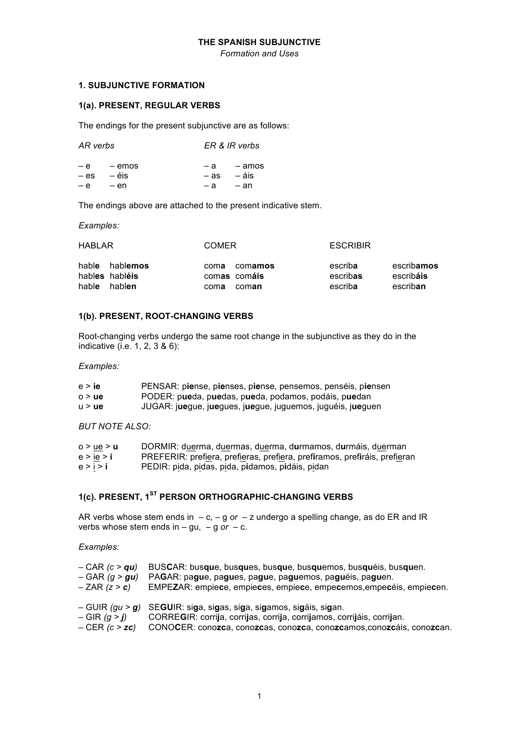### THE SPANISH SUBJUNCTIVE

**Formation and Uses** 

## **1. SUBJUNCTIVE FORMATION**

## 1(a). PRESENT, REGULAR VERBS

The endings for the present subjunctive are as follows:

| AR verbs |               |        | ER & IR verbs |
|----------|---------------|--------|---------------|
|          | $-e$ $-$ emos |        | -a -amos      |
| $-$ es   | — éis         | $-$ as | – áis         |
|          | -e -en        | — а    | – an          |

The endings above are attached to the present indicative stem.

Examples:

| <b>HABLAR</b>                    |                            | <b>COMER</b> |                                  | <b>ESCRIBIR</b>                |                                     |
|----------------------------------|----------------------------|--------------|----------------------------------|--------------------------------|-------------------------------------|
| hable<br>hables habléis<br>hable | habl <b>emos</b><br>hablen | coma<br>coma | comamos<br>comas comáis<br>coman | escriba<br>escribas<br>escriba | escribamos<br>escribáis<br>escriban |

## 1(b). PRESENT, ROOT-CHANGING VERBS

Root-changing verbs undergo the same root change in the subjunctive as they do in the indicative (i.e. 1, 2, 3 & 6):

Examples:

| e > ie               | PENSAR: piense, pienses, piense, pensemos, penséis, piensen |
|----------------------|-------------------------------------------------------------|
| $0 \geq \mathsf{ue}$ | PODER: pueda, puedas, pueda, podamos, podáis, puedan        |
| u > ue               | JUGAR: juegue, juegues, juegue, juguemos, juguéis, jueguen  |

**BUT NOTE ALSO:** 

| 0 > ue > U | DORMIR: duerma, duermas, duerma, durmamos, durmáis, duerman               |
|------------|---------------------------------------------------------------------------|
| e > ie > i | PREFERIR: prefiera, prefieras, prefiera, prefiramos, prefiráis, prefieran |
| e > i > i  | PEDIR: pida, pidas, pida, pidamos, pidáis, pidan                          |

# 1(c). PRESENT, 1<sup>ST</sup> PERSON ORTHOGRAPHIC-CHANGING VERBS

AR verbs whose stem ends in  $-c$ ,  $-q$  or  $-z$  undergo a spelling change, as do ER and IR verbs whose stem ends in  $-$  gu,  $-$  g or  $-$  c.

Examples:

| $-CAR$ (c > qu)                  | BUSCAR: busque, busques, busque, busquemos, busquéis, busquen.                                                                                                                                                        |
|----------------------------------|-----------------------------------------------------------------------------------------------------------------------------------------------------------------------------------------------------------------------|
| $-$ GAR $(g > gu)$               | PAGAR: pague, pagues, pague, paguemos, paguéis, paguen.                                                                                                                                                               |
| $-ZAR (z > c)$                   | EMPEZAR: empiece, empieces, empiece, empecemos, empecéis, empiecen.                                                                                                                                                   |
| $-GIR(q > j)$<br>$-CER (c > zc)$ | - GUIR (gu > g) SEGUIR: siga, sigas, siga, sigamos, sigáis, sigan.<br>CORREGIR: corrija, corrijas, corrija, corrijamos, corrijáis, corrijan.<br>CONOCER: conozca, conozcas, conozca, conozcamos, conozcáis, conozcan. |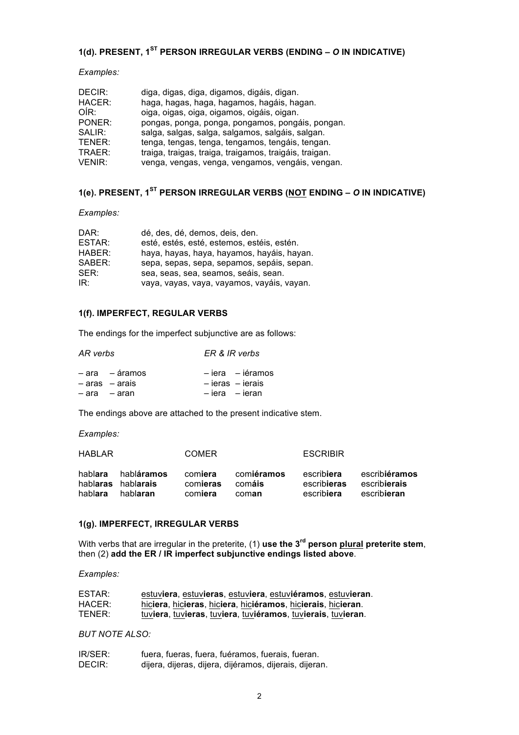## **1(d). PRESENT, 1ST PERSON IRREGULAR VERBS (ENDING** *– O* **IN INDICATIVE)**

*Examples:*

| DECIR:        | diga, digas, diga, digamos, digáis, digan.             |
|---------------|--------------------------------------------------------|
| HACER:        | haga, hagas, haga, hagamos, hagáis, hagan.             |
| OÍR:          | oiga, oigas, oiga, oigamos, oigáis, oigan.             |
| PONER:        | pongas, ponga, ponga, pongamos, pongáis, pongan.       |
| SALIR:        | salga, salgas, salga, salgamos, salgáis, salgan.       |
| TENER:        | tenga, tengas, tenga, tengamos, tengáis, tengan.       |
| TRAER:        | traiga, traigas, traiga, traigamos, traigáis, traigan. |
| <b>VENIR:</b> | venga, vengas, venga, vengamos, vengáis, vengan.       |

## **1(e). PRESENT, 1ST PERSON IRREGULAR VERBS (NOT ENDING** *– O* **IN INDICATIVE)**

*Examples:*

| DAR:          | dé, des, dé, demos, deis, den.             |
|---------------|--------------------------------------------|
| <b>ESTAR:</b> | esté, estés, esté, estemos, estéis, estén. |
| HABER:        | haya, hayas, haya, hayamos, hayáis, hayan. |
| SABER:        | sepa, sepas, sepa, sepamos, sepáis, sepan. |
| SER:          | sea, seas, sea, seamos, seáis, sean.       |
| IR:           | vaya, vayas, vaya, vayamos, vayáis, vayan. |

## **1(f). IMPERFECT, REGULAR VERBS**

The endings for the imperfect subjunctive are as follows:

## *AR verbs ER & IR verbs*

| -ara -áramos       | $-$ iera $-$ iéramos |
|--------------------|----------------------|
| $-$ aras $-$ arais | - ieras - ierais     |
| – ara – aran       | - iera - ieran       |

The endings above are attached to the present indicative stem.

#### *Examples:*

| HABL AR            |                                                      | <b>COMER</b>                   |                               | <b>ESCRIBIR</b>                                 |                                                      |
|--------------------|------------------------------------------------------|--------------------------------|-------------------------------|-------------------------------------------------|------------------------------------------------------|
| hablara<br>hablara | habl <b>áramos</b><br>hablaras hablarais<br>hablaran | comiera<br>comieras<br>comiera | comiéramos<br>comáis<br>coman | escrib <b>iera</b><br>escribieras<br>escribiera | escribiéramos<br>escribierais<br>escrib <b>ieran</b> |

## **1(g). IMPERFECT, IRREGULAR VERBS**

With verbs that are irregular in the preterite, (1) **use the 3rd person plural preterite stem**, then (2) **add the ER / IR imperfect subjunctive endings listed above**.

*Examples:*

| ESTAR: | estuviera, estuvieras, estuviera, estuviéramos, estuvieran.  |
|--------|--------------------------------------------------------------|
| HACER: | hiciera, hicieras, hiciera, hiciéramos, hicierais, hicieran. |
| TENER: | tuviera, tuvieras, tuviera, tuviéramos, tuvierais, tuvieran. |

## *BUT NOTE ALSO:*

| IR/SER: | fuera, fueras, fuera, fuéramos, fuerais, fueran.       |
|---------|--------------------------------------------------------|
| DECIR:  | dijera, dijeras, dijera, dijéramos, dijerais, dijeran. |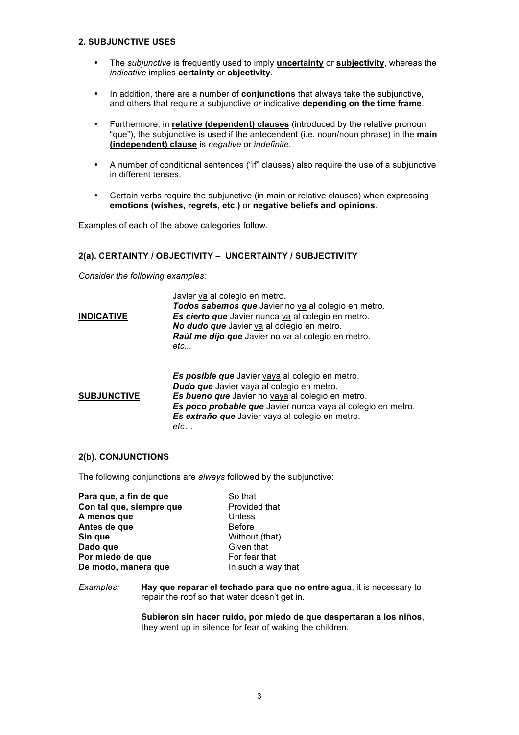## **2. SUBJUNCTIVE USES**

- The *subjunctive* is frequently used to imply **uncertainty** or **subjectivity**, whereas the *indicative* implies **certainty** or **objectivity**.
- In addition, there are a number of **conjunctions** that always take the subjunctive, and others that require a subjunctive *or* indicative **depending on the time frame**.
- Furthermore, in **relative (dependent) clauses** (introduced by the relative pronoun "que"), the subjunctive is used if the antecendent (i.e. noun/noun phrase) in the **main (independent) clause** is *negative* or *indefinite*.
- A number of conditional sentences ("if" clauses) also require the use of a subjunctive in different tenses.
- Certain verbs require the subjunctive (in main or relative clauses) when expressing **emotions (wishes, regrets, etc.)** or **negative beliefs and opinions**.

Examples of each of the above categories follow.

## **2(a). CERTAINTY / OBJECTIVITY – UNCERTAINTY / SUBJECTIVITY**

*Consider the following examples:*

| <b>INDICATIVE</b>  | Javier va al colegio en metro.<br>Todos sabemos que Javier no va al colegio en metro.<br>Es cierto que Javier nunca va al colegio en metro.<br>No dudo que Javier va al colegio en metro.<br>Raúl me dijo que Javier no va al colegio en metro.<br>etc                           |
|--------------------|----------------------------------------------------------------------------------------------------------------------------------------------------------------------------------------------------------------------------------------------------------------------------------|
| <b>SUBJUNCTIVE</b> | Es posible que Javier vaya al colegio en metro.<br><b>Dudo que</b> Javier vaya al colegio en metro.<br>Es bueno que Javier no vaya al colegio en metro.<br>Es poco probable que Javier nunca vaya al colegio en metro.<br>Es extraño que Javier vaya al colegio en metro.<br>etc |

## **2(b). CONJUNCTIONS**

The following conjunctions are *always* followed by the subjunctive:

| Para que, a fin de que   | So that            |
|--------------------------|--------------------|
| Con tal que, siempre que | Provided that      |
| A menos que              | Unless             |
| Antes de que             | <b>Before</b>      |
| Sin que                  | Without (that)     |
| Dado que                 | Given that         |
| Por miedo de que         | For fear that      |
| De modo, manera que      | In such a way that |
|                          |                    |

*Examples:* **Hay que reparar el techado para que no entre agua**, it is necessary to repair the roof so that water doesn't get in.

> **Subieron sin hacer ruido, por miedo de que despertaran a los niños**, they went up in silence for fear of waking the children.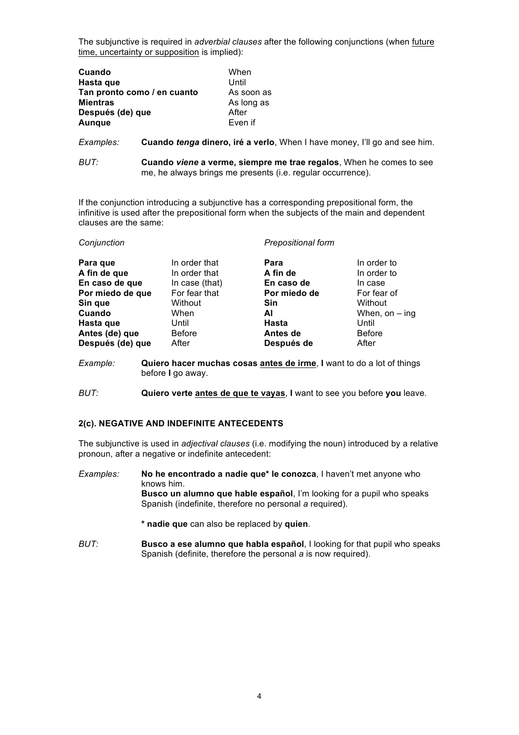The subjunctive is required in *adverbial clauses* after the following conjunctions (when future time, uncertainty or supposition is implied):

| Cuando                      | When       |
|-----------------------------|------------|
| Hasta que                   | Until      |
| Tan pronto como / en cuanto | As soon as |
| <b>Mientras</b>             | As long as |
| Después (de) que            | After      |
| <b>Aunque</b>               | Even if    |

*Examples:* **Cuando** *tenga* **dinero, iré a verlo**, When I have money, I'll go and see him.

*BUT:* **Cuando** *viene* **a verme, siempre me trae regalos**, When he comes to see me, he always brings me presents (i.e. regular occurrence).

If the conjunction introducing a subjunctive has a corresponding prepositional form, the infinitive is used after the prepositional form when the subjects of the main and dependent clauses are the same:

| In order that<br>In order to<br>Para que<br>Para<br>A fin de que<br>In order that<br>In order to<br>A fin de<br>En caso de<br>In case                                                                                                                                                        | Conjunction    |                | <b>Prepositional form</b> |                  |
|----------------------------------------------------------------------------------------------------------------------------------------------------------------------------------------------------------------------------------------------------------------------------------------------|----------------|----------------|---------------------------|------------------|
| For fear that<br>Por miedo de que<br>For fear of<br>Por miedo de<br>Sin que<br>Sin<br>Without<br>Without<br>Cuando<br>When<br>ΑI<br>Hasta<br>Hasta que<br>Until<br>Until<br><b>Before</b><br>Antes (de) que<br><b>Before</b><br>Antes de<br>Después (de) que<br>After<br>Después de<br>After | En caso de que | In case (that) |                           | When, on $-$ ing |

*Example:* **Quiero hacer muchas cosas antes de irme**, **I** want to do a lot of things before **I** go away.

*BUT:* **Quiero verte antes de que te vayas**, **I** want to see you before **you** leave.

## **2(c). NEGATIVE AND INDEFINITE ANTECEDENTS**

The subjunctive is used in *adjectival clauses* (i.e. modifying the noun) introduced by a relative pronoun, after a negative or indefinite antecedent:

*Examples:* **No he encontrado a nadie que\* le conozca**, I haven't met anyone who knows him. **Busco un alumno que hable español**, I'm looking for a pupil who speaks Spanish (indefinite, therefore no personal *a* required).

**\* nadie que** can also be replaced by **quien**.

*BUT:* **Busco a ese alumno que habla español**, I looking for that pupil who speaks Spanish (definite, therefore the personal *a* is now required).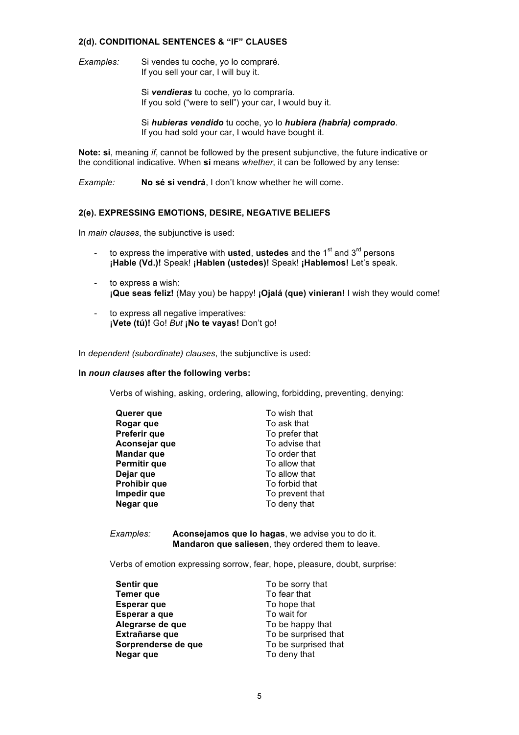## **2(d). CONDITIONAL SENTENCES & "IF" CLAUSES**

*Examples:* Si vendes tu coche, yo lo compraré. If you sell your car, I will buy it.

> Si *vendieras* tu coche, yo lo compraría. If you sold ("were to sell") your car, I would buy it.

Si *hubieras vendido* tu coche, yo lo *hubiera (habría) comprado*. If you had sold your car, I would have bought it.

**Note: si**, meaning *if*, cannot be followed by the present subjunctive, the future indicative or the conditional indicative. When **si** means *whether*, it can be followed by any tense:

*Example:* **No sé si vendrá**, I don't know whether he will come.

#### **2(e). EXPRESSING EMOTIONS, DESIRE, NEGATIVE BELIEFS**

In *main clauses*, the subjunctive is used:

- to express the imperative with **usted**, **ustedes** and the 1<sup>st</sup> and 3<sup>rd</sup> persons **¡Hable (Vd.)!** Speak! **¡Hablen (ustedes)!** Speak! **¡Hablemos!** Let's speak.
- to express a wish: **¡Que seas feliz!** (May you) be happy! **¡Ojalá (que) vinieran!** I wish they would come!
- to express all negative imperatives: **¡Vete (tú)!** Go! *But* **¡No te vayas!** Don't go!

In *dependent (subordinate) clauses*, the subjunctive is used:

#### **In** *noun clauses* **after the following verbs:**

Verbs of wishing, asking, ordering, allowing, forbidding, preventing, denying:

| Querer que        | To wish that    |
|-------------------|-----------------|
| Rogar que         | To ask that     |
| Preferir que      | To prefer that  |
| Aconsejar que     | To advise that  |
| <b>Mandar que</b> | To order that   |
| Permitir que      | To allow that   |
| Dejar que         | To allow that   |
| Prohibir que      | To forbid that  |
| Impedir que       | To prevent that |
| Negar que         | To deny that    |

*Examples:* **Aconsejamos que lo hagas**, we advise you to do it. **Mandaron que saliesen**, they ordered them to leave.

Verbs of emotion expressing sorrow, fear, hope, pleasure, doubt, surprise:

| To be sorry that     |
|----------------------|
| To fear that         |
| To hope that         |
| To wait for          |
| To be happy that     |
| To be surprised that |
| To be surprised that |
| To deny that         |
|                      |